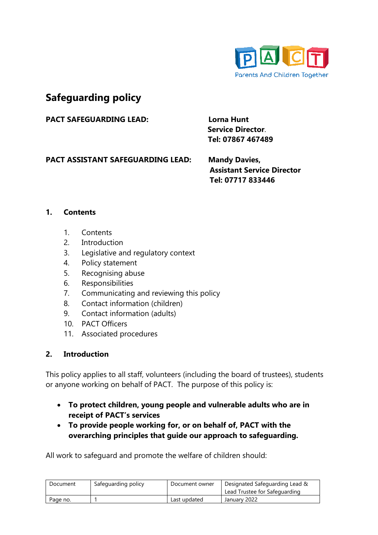

# **Safeguarding policy**

PACT SAFEGUARDING LEAD: Lorna Hunt

 **Service Director**. **Tel: 07867 467489**

**PACT ASSISTANT SAFEGUARDING LEAD: Mandy Davies,**

 **Assistant Service Director Tel: 07717 833446**

### **1. Contents**

- 1. Contents
- 2. Introduction
- 3. Legislative and regulatory context
- 4. Policy statement
- 5. Recognising abuse
- 6. Responsibilities
- 7. Communicating and reviewing this policy
- 8. Contact information (children)
- 9. Contact information (adults)
- 10. PACT Officers
- 11. Associated procedures

### **2. Introduction**

This policy applies to all staff, volunteers (including the board of trustees), students or anyone working on behalf of PACT. The purpose of this policy is:

- **To protect children, young people and vulnerable adults who are in receipt of PACT's services**
- **To provide people working for, or on behalf of, PACT with the overarching principles that guide our approach to safeguarding.**

All work to safeguard and promote the welfare of children should:

| Document | Safeguarding policy | Document owner | Designated Safeguarding Lead &<br>Lead Trustee for Safeguarding |
|----------|---------------------|----------------|-----------------------------------------------------------------|
| Page no. |                     | Last updated   | January 2022                                                    |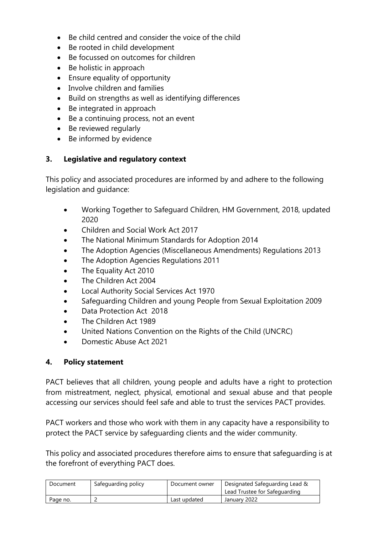- Be child centred and consider the voice of the child
- Be rooted in child development
- Be focussed on outcomes for children
- Be holistic in approach
- Ensure equality of opportunity
- Involve children and families
- Build on strengths as well as identifying differences
- Be integrated in approach
- Be a continuing process, not an event
- Be reviewed regularly
- Be informed by evidence

### **3. Legislative and regulatory context**

This policy and associated procedures are informed by and adhere to the following legislation and guidance:

- Working Together to Safeguard Children, HM Government, 2018, updated 2020
- Children and Social Work Act 2017
- The National Minimum Standards for Adoption 2014
- The Adoption Agencies (Miscellaneous Amendments) Regulations 2013
- The Adoption Agencies Regulations 2011
- The Equality Act 2010
- The Children Act 2004
- Local Authority Social Services Act 1970
- Safeguarding Children and young People from Sexual Exploitation 2009
- Data Protection Act 2018
- The Children Act 1989
- United Nations Convention on the Rights of the Child (UNCRC)
- Domestic Abuse Act 2021

### **4. Policy statement**

PACT believes that all children, young people and adults have a right to protection from mistreatment, neglect, physical, emotional and sexual abuse and that people accessing our services should feel safe and able to trust the services PACT provides.

PACT workers and those who work with them in any capacity have a responsibility to protect the PACT service by safeguarding clients and the wider community.

This policy and associated procedures therefore aims to ensure that safeguarding is at the forefront of everything PACT does.

| Document | Safeguarding policy | Document owner | Designated Safeguarding Lead &<br>Lead Trustee for Safeguarding |
|----------|---------------------|----------------|-----------------------------------------------------------------|
| Page no. |                     | Last updated   | January 2022                                                    |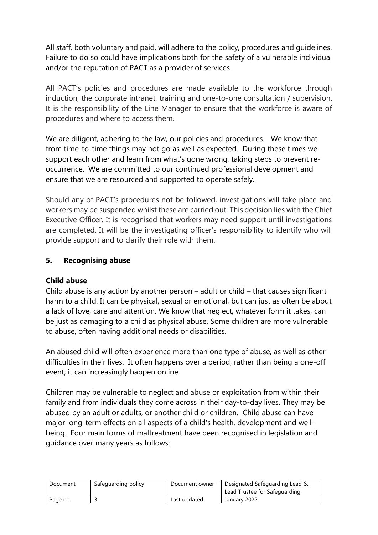All staff, both voluntary and paid, will adhere to the policy, procedures and guidelines. Failure to do so could have implications both for the safety of a vulnerable individual and/or the reputation of PACT as a provider of services.

All PACT's policies and procedures are made available to the workforce through induction, the corporate intranet, training and one-to-one consultation / supervision. It is the responsibility of the Line Manager to ensure that the workforce is aware of procedures and where to access them.

We are diligent, adhering to the law, our policies and procedures. We know that from time-to-time things may not go as well as expected. During these times we support each other and learn from what's gone wrong, taking steps to prevent reoccurrence. We are committed to our continued professional development and ensure that we are resourced and supported to operate safely.

Should any of PACT's procedures not be followed, investigations will take place and workers may be suspended whilst these are carried out. This decision lies with the Chief Executive Officer. It is recognised that workers may need support until investigations are completed. It will be the investigating officer's responsibility to identify who will provide support and to clarify their role with them.

### **5. Recognising abuse**

### **Child abuse**

Child abuse is any action by another person – adult or child – that causes significant harm to a child. It can be physical, sexual or emotional, but can just as often be about a lack of love, care and attention. We know that neglect, whatever form it takes, can be just as damaging to a child as physical abuse. Some children are more vulnerable to abuse, often having additional needs or disabilities.

An abused child will often experience more than one type of abuse, as well as other difficulties in their lives. It often happens over a period, rather than being a one-off event; it can increasingly happen online.

Children may be vulnerable to neglect and abuse or exploitation from within their family and from individuals they come across in their day-to-day lives. They may be abused by an adult or adults, or another child or children. Child abuse can have major long-term effects on all aspects of a child's health, development and wellbeing. Four main forms of maltreatment have been recognised in legislation and guidance over many years as follows:

| Document | Safeguarding policy | Document owner | Designated Safeguarding Lead &<br>Lead Trustee for Safeguarding |
|----------|---------------------|----------------|-----------------------------------------------------------------|
| Page no. |                     | Last updated   | January 2022                                                    |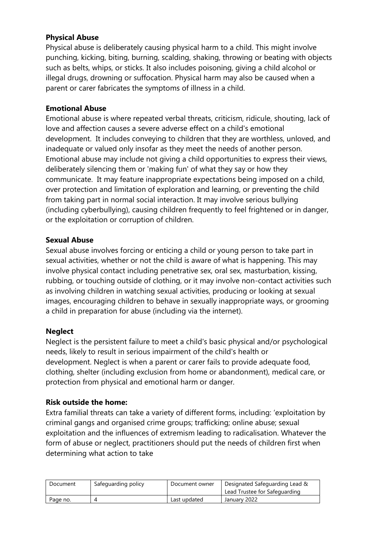### **Physical Abuse**

Physical abuse is deliberately causing physical harm to a child. This might involve punching, kicking, biting, burning, scalding, shaking, throwing or beating with objects such as belts, whips, or sticks. It also includes poisoning, giving a child alcohol or illegal drugs, drowning or suffocation. Physical harm may also be caused when a parent or carer fabricates the symptoms of illness in a child.

### **Emotional Abuse**

Emotional abuse is where repeated verbal threats, criticism, ridicule, shouting, lack of love and affection causes a severe adverse effect on a child's emotional development. It includes conveying to children that they are worthless, unloved, and inadequate or valued only insofar as they meet the needs of another person. Emotional abuse may include not giving a child opportunities to express their views, deliberately silencing them or 'making fun' of what they say or how they communicate. It may feature inappropriate expectations being imposed on a child, over protection and limitation of exploration and learning, or preventing the child from taking part in normal social interaction. It may involve serious bullying (including cyberbullying), causing children frequently to feel frightened or in danger, or the exploitation or corruption of children.

### **Sexual Abuse**

Sexual abuse involves forcing or enticing a child or young person to take part in sexual activities, whether or not the child is aware of what is happening. This may involve physical contact including penetrative sex, oral sex, masturbation, kissing, rubbing, or touching outside of clothing, or it may involve non-contact activities such as involving children in watching sexual activities, producing or looking at sexual images, encouraging children to behave in sexually inappropriate ways, or grooming a child in preparation for abuse (including via the internet).

### **Neglect**

Neglect is the persistent failure to meet a child's basic physical and/or psychological needs, likely to result in serious impairment of the child's health or development. Neglect is when a parent or carer fails to provide adequate food, clothing, shelter (including exclusion from home or abandonment), medical care, or protection from physical and emotional harm or danger.

### **Risk outside the home:**

Extra familial threats can take a variety of different forms, including: 'exploitation by criminal gangs and organised crime groups; trafficking; online abuse; sexual exploitation and the influences of extremism leading to radicalisation. Whatever the form of abuse or neglect, practitioners should put the needs of children first when determining what action to take

| Document | Safeguarding policy | Document owner | Designated Safeguarding Lead &<br>Lead Trustee for Safeguarding |
|----------|---------------------|----------------|-----------------------------------------------------------------|
| Page no. |                     | Last updated   | January 2022                                                    |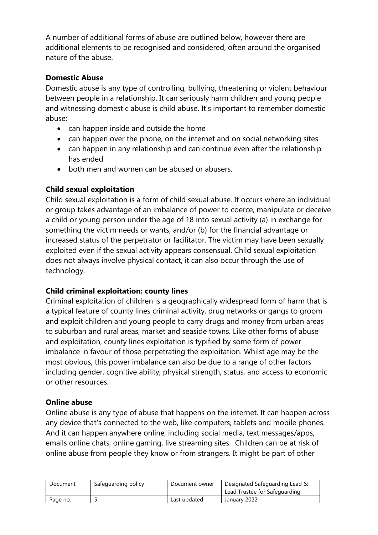A number of additional forms of abuse are outlined below, however there are additional elements to be recognised and considered, often around the organised nature of the abuse.

### **Domestic Abuse**

Domestic abuse is any type of controlling, bullying, threatening or violent behaviour between people in a relationship. It can seriously harm children and young people and witnessing domestic abuse is child abuse. It's important to remember domestic abuse:

- can happen inside and outside the home
- can happen over the phone, on the internet and on social networking sites
- can happen in any relationship and can continue even after the relationship has ended
- both men and women can be abused or abusers.

# **Child sexual exploitation**

Child sexual exploitation is a form of child sexual abuse. It occurs where an individual or group takes advantage of an imbalance of power to coerce, manipulate or deceive a child or young person under the age of 18 into sexual activity (a) in exchange for something the victim needs or wants, and/or (b) for the financial advantage or increased status of the perpetrator or facilitator. The victim may have been sexually exploited even if the sexual activity appears consensual. Child sexual exploitation does not always involve physical contact, it can also occur through the use of technology.

### **Child criminal exploitation: county lines**

Criminal exploitation of children is a geographically widespread form of harm that is a typical feature of county lines criminal activity, drug networks or gangs to groom and exploit children and young people to carry drugs and money from urban areas to suburban and rural areas, market and seaside towns. Like other forms of abuse and exploitation, county lines exploitation is typified by some form of power imbalance in favour of those perpetrating the exploitation. Whilst age may be the most obvious, this power imbalance can also be due to a range of other factors including gender, cognitive ability, physical strength, status, and access to economic or other resources.

### **Online abuse**

Online abuse is any type of abuse that happens on the internet. It can happen across any device that's connected to the web, like computers, tablets and mobile phones. And it can happen anywhere online, including social media, text messages/apps, emails online chats, online gaming, live streaming sites. Children can be at risk of online abuse from people they know or from strangers. It might be part of other

| Document | Safeguarding policy | Document owner | Designated Safeguarding Lead &<br>Lead Trustee for Safeguarding |
|----------|---------------------|----------------|-----------------------------------------------------------------|
| Page no. |                     | Last updated   | January 2022                                                    |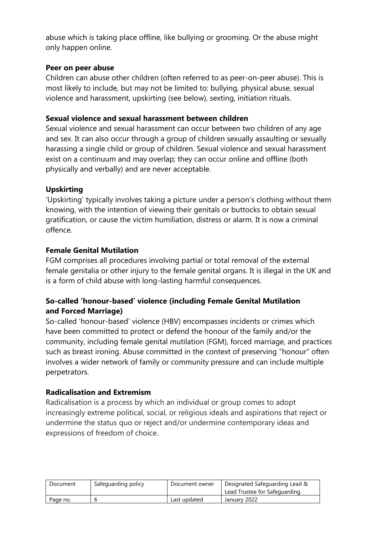abuse which is taking place offline, like bullying or grooming. Or the abuse might only happen online.

### **Peer on peer abuse**

Children can abuse other children (often referred to as peer-on-peer abuse). This is most likely to include, but may not be limited to: bullying, physical abuse, sexual violence and harassment, upskirting (see below), sexting, initiation rituals.

### **Sexual violence and sexual harassment between children**

Sexual violence and sexual harassment can occur between two children of any age and sex. It can also occur through a group of children sexually assaulting or sexually harassing a single child or group of children. Sexual violence and sexual harassment exist on a continuum and may overlap; they can occur online and offline (both physically and verbally) and are never acceptable.

### **Upskirting**

'Upskirting' typically involves taking a picture under a person's clothing without them knowing, with the intention of viewing their genitals or buttocks to obtain sexual gratification, or cause the victim humiliation, distress or alarm. It is now a criminal offence.

### **Female Genital Mutilation**

FGM comprises all procedures involving partial or total removal of the external female genitalia or other injury to the female genital organs. It is illegal in the UK and is a form of child abuse with long-lasting harmful consequences.

# **So-called 'honour-based' violence (including Female Genital Mutilation and Forced Marriage)**

So-called 'honour-based' violence (HBV) encompasses incidents or crimes which have been committed to protect or defend the honour of the family and/or the community, including female genital mutilation (FGM), forced marriage, and practices such as breast ironing. Abuse committed in the context of preserving "honour" often involves a wider network of family or community pressure and can include multiple perpetrators.

### **Radicalisation and Extremism**

Radicalisation is a process by which an individual or group comes to adopt increasingly extreme political, social, or religious ideals and aspirations that reject or undermine the status quo or reject and/or undermine contemporary ideas and expressions of freedom of choice.

| Document | Safeguarding policy | Document owner | Designated Safeguarding Lead &<br>Lead Trustee for Safeguarding |
|----------|---------------------|----------------|-----------------------------------------------------------------|
| Page no. |                     | Last updated   | January 2022                                                    |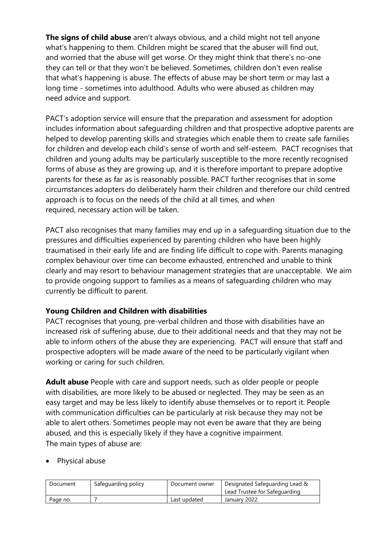**The signs of child abuse** aren't always obvious, and a child might not tell anyone what's happening to them. Children might be scared that the abuser will find out, and worried that the abuse will get worse. Or they might think that there's no-one they can tell or that they won't be believed. Sometimes, children don't even realise that what's happening is abuse. The effects of abuse may be short term or may last a long time - sometimes into adulthood. Adults who were abused as children may need advice and support.

PACT's adoption service will ensure that the preparation and assessment for adoption includes information about safeguarding children and that prospective adoptive parents are helped to develop parenting skills and strategies which enable them to create safe families for children and develop each child's sense of worth and self-esteem. PACT recognises that children and young adults may be particularly susceptible to the more recently recognised forms of abuse as they are growing up, and it is therefore important to prepare adoptive parents for these as far as is reasonably possible. PACT further recognises that in some circumstances adopters do deliberately harm their children and therefore our child centred approach is to focus on the needs of the child at all times, and when required, necessary action will be taken.

PACT also recognises that many families may end up in a safeguarding situation due to the pressures and difficulties experienced by parenting children who have been highly traumatised in their early life and are finding life difficult to cope with. Parents managing complex behaviour over time can become exhausted, entrenched and unable to think clearly and may resort to behaviour management strategies that are unacceptable. We aim to provide ongoing support to families as a means of safeguarding children who may currently be difficult to parent.

### **Young Children and Children with disabilities**

PACT recognises that young, pre-verbal children and those with disabilities have an increased risk of suffering abuse, due to their additional needs and that they may not be able to inform others of the abuse they are experiencing. PACT will ensure that staff and prospective adopters will be made aware of the need to be particularly vigilant when working or caring for such children.

**Adult abuse** People with care and support needs, such as older people or people with disabilities, are more likely to be abused or neglected. They may be seen as an easy target and may be less likely to identify abuse themselves or to report it. People with communication difficulties can be particularly at risk because they may not be able to alert others. Sometimes people may not even be aware that they are being abused, and this is especially likely if they have a cognitive impairment. The main types of abuse are:

• Physical abuse

| Document | Safeguarding policy | Document owner | Designated Safeguarding Lead &<br>Lead Trustee for Safeguarding |
|----------|---------------------|----------------|-----------------------------------------------------------------|
| Page no. |                     | Last updated   | January 2022                                                    |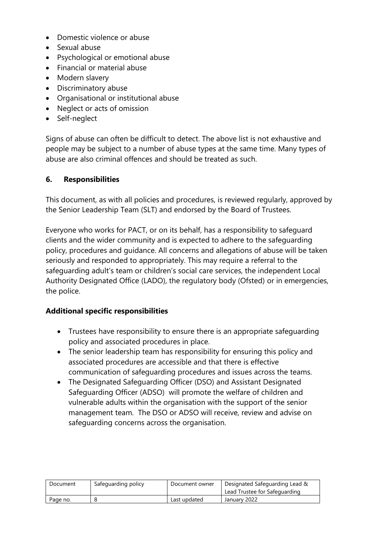- Domestic violence or abuse
- Sexual abuse
- Psychological or emotional abuse
- Financial or material abuse
- Modern slavery
- Discriminatory abuse
- Organisational or institutional abuse
- Neglect or acts of omission
- Self-neglect

Signs of abuse can often be difficult to detect. The above list is not exhaustive and people may be subject to a number of abuse types at the same time. Many types of abuse are also criminal offences and should be treated as such.

### **6. Responsibilities**

This document, as with all policies and procedures, is reviewed regularly, approved by the Senior Leadership Team (SLT) and endorsed by the Board of Trustees.

Everyone who works for PACT, or on its behalf, has a responsibility to safeguard clients and the wider community and is expected to adhere to the safeguarding policy, procedures and guidance. All concerns and allegations of abuse will be taken seriously and responded to appropriately. This may require a referral to the safeguarding adult's team or children's social care services, the independent Local Authority Designated Office (LADO), the regulatory body (Ofsted) or in emergencies, the police.

### **Additional specific responsibilities**

- Trustees have responsibility to ensure there is an appropriate safeguarding policy and associated procedures in place.
- The senior leadership team has responsibility for ensuring this policy and associated procedures are accessible and that there is effective communication of safeguarding procedures and issues across the teams.
- The Designated Safeguarding Officer (DSO) and Assistant Designated Safeguarding Officer (ADSO) will promote the welfare of children and vulnerable adults within the organisation with the support of the senior management team. The DSO or ADSO will receive, review and advise on safeguarding concerns across the organisation.

| Document | Safeguarding policy | Document owner | Designated Safeguarding Lead &<br>Lead Trustee for Safeguarding |
|----------|---------------------|----------------|-----------------------------------------------------------------|
| Page no. |                     | Last updated   | January 2022                                                    |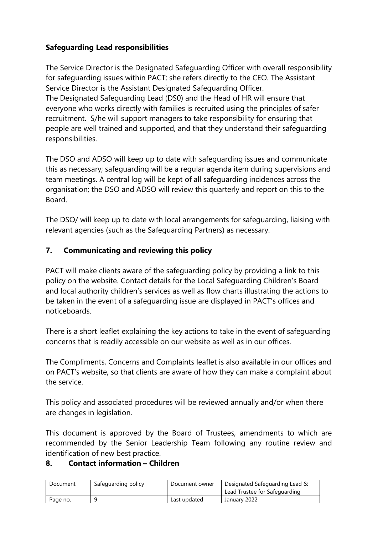# **Safeguarding Lead responsibilities**

The Service Director is the Designated Safeguarding Officer with overall responsibility for safeguarding issues within PACT; she refers directly to the CEO. The Assistant Service Director is the Assistant Designated Safeguarding Officer. The Designated Safeguarding Lead (DS0) and the Head of HR will ensure that everyone who works directly with families is recruited using the principles of safer recruitment. S/he will support managers to take responsibility for ensuring that people are well trained and supported, and that they understand their safeguarding responsibilities.

The DSO and ADSO will keep up to date with safeguarding issues and communicate this as necessary; safeguarding will be a regular agenda item during supervisions and team meetings. A central log will be kept of all safeguarding incidences across the organisation; the DSO and ADSO will review this quarterly and report on this to the Board.

The DSO/ will keep up to date with local arrangements for safeguarding, liaising with relevant agencies (such as the Safeguarding Partners) as necessary.

# **7. Communicating and reviewing this policy**

PACT will make clients aware of the safeguarding policy by providing a link to this policy on the website. Contact details for the Local Safeguarding Children's Board and local authority children's services as well as flow charts illustrating the actions to be taken in the event of a safeguarding issue are displayed in PACT's offices and noticeboards.

There is a short leaflet explaining the key actions to take in the event of safeguarding concerns that is readily accessible on our website as well as in our offices.

The Compliments, Concerns and Complaints leaflet is also available in our offices and on PACT's website, so that clients are aware of how they can make a complaint about the service.

This policy and associated procedures will be reviewed annually and/or when there are changes in legislation.

This document is approved by the Board of Trustees, amendments to which are recommended by the Senior Leadership Team following any routine review and identification of new best practice.

# **8. Contact information – Children**

| Document | Safeguarding policy | Document owner | Designated Safeguarding Lead & |
|----------|---------------------|----------------|--------------------------------|
|          |                     |                | Lead Trustee for Safeguarding  |
| Page no. |                     | Last updated   | January 2022                   |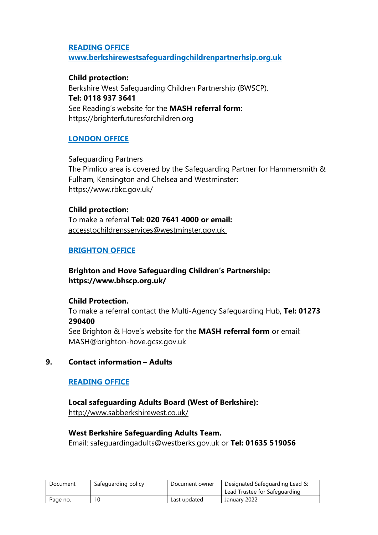#### **READING OFFICE**

**www.berkshirewestsafeguardingchildrenpartnerhsip.org.uk**

#### **Child protection:**

Berkshire West Safeguarding Children Partnership (BWSCP). **Tel: 0118 937 3641** See Reading's website for the **MASH referral form**: https://brighterfuturesforchildren.org

### **LONDON OFFICE**

Safeguarding Partners The Pimlico area is covered by the Safeguarding Partner for Hammersmith & Fulham, Kensington and Chelsea and Westminster: https://www.rbkc.gov.uk/

### **Child protection:** To make a referral **Tel: 020 7641 4000 or email:**  [accesstochildrensservices@westminster.gov.uk](mailto:accesstochildrensservices@westminster.gov.uk)

### **BRIGHTON OFFICE**

### **Brighton and Hove Safeguarding Children's Partnership: https://www.bhscp.org.uk/**

### **Child Protection.**

To make a referral contact the Multi-Agency Safeguarding Hub, **Tel: 01273 290400**  See Brighton & Hove's website for the **MASH referral form** or email: [MASH@brighton-hove.gcsx.gov.uk](mailto:MASH@brighton-hove.gcsx.gov.uk)

### **9. Contact information – Adults**

### **READING OFFICE**

**Local safeguarding Adults Board (West of Berkshire):** http://www.sabberkshirewest.co.uk/

### **West Berkshire Safeguarding Adults Team.**

Email: [safeguardingadults@westberks.gov.uk](mailto:safeguardingadults@westberks.gov.uk) or **Tel: 01635 519056**

| Document | Safeguarding policy | Document owner | Designated Safeguarding Lead &<br>Lead Trustee for Safeguarding |
|----------|---------------------|----------------|-----------------------------------------------------------------|
| Page no. | 10                  | Last updated   | January 2022                                                    |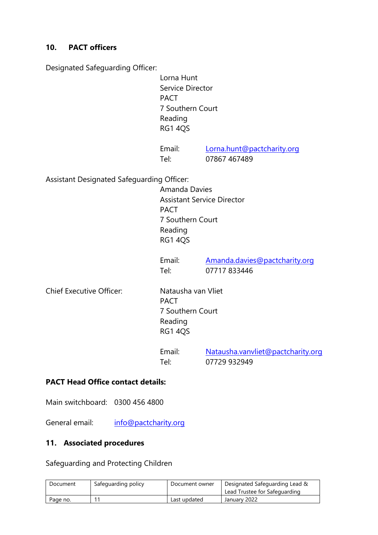### **10. PACT officers**

Designated Safeguarding Officer:

 Lorna Hunt Service Director PACT 7 Southern Court Reading RG1 4QS

Email: [Lorna.hunt@pactcharity.org](mailto:Lorna.hunt@pactcharity.org) Tel: 07867 467489

Assistant Designated Safeguarding Officer:

 Amanda Davies Assistant Service Director PACT 7 Southern Court Reading RG1 4QS

Email: [Amanda.davies@pactcharity.org](mailto:Amanda.davies@pactcharity.org) Tel: 07717 833446

Chief Executive Officer: Natausha van Vliet

PACT 7 Southern Court Reading RG1 4QS

Email: [Natausha.vanvliet@pactcharity.org](mailto:Natausha.vanvliet@pactcharity.org) Tel: 07729 932949

### **PACT Head Office contact details:**

Main switchboard: [0300 456 4800](tel:0300%20456%204800)

General email: [info@pactcharity.org](mailto:info@pactcharity.org)

#### **11. Associated procedures**

Safeguarding and Protecting Children

| Document | Safeguarding policy | Document owner | Designated Safeguarding Lead &<br>Lead Trustee for Safeguarding |
|----------|---------------------|----------------|-----------------------------------------------------------------|
| Page no. |                     | Last updated   | January 2022                                                    |